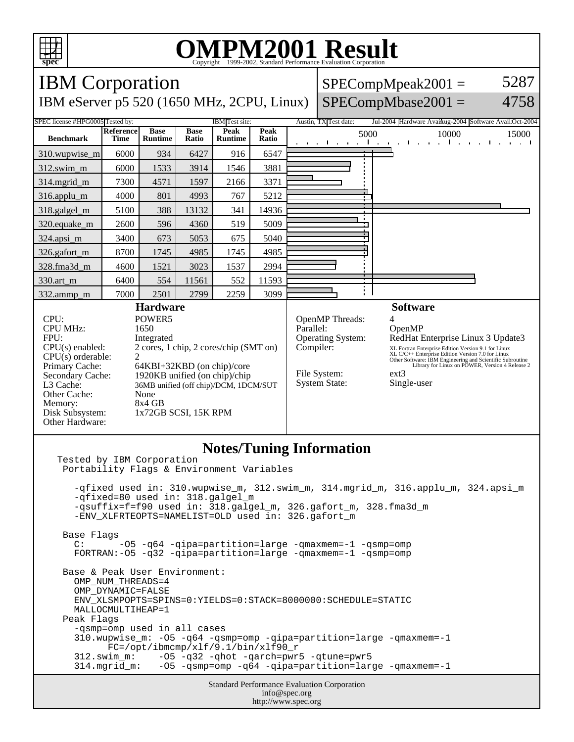

## **OMPM2001 Result**

**spec** Copyright 1999-2002, Standard Performance Evaluation Corporation IBM Corporation  $SPECompMpeak2001 =$ 5287  $SPECompMbase2001 =$ IBM eServer p5 520 (1650 MHz, 2CPU, Linux) 4758 SPEC license #HPG0005 Tested by: IBM Test site: Austin, TX Test date: Jul-2004 Hardware Avail: Austin, 2004 Software Avail: Oct-2004 **Reference Base Base Peak Peak Peak**<br>**Ratio** 5000 10000 15000 **Benchmark Runtime Time Ratio Runtime** 310.wupwise\_m 6000 934 6427 916 6547 312.swim\_m 6000 1533 3914 1546 3881 314.mgrid\_m 7300 4571 1597 2166 3371 316.applu\_m 4000 801 4993 767 5212 318.galgel\_m | 5100 | 388 | 13132 | 341 | 14936 320.equake\_m | 2600 | 596 | 4360 | 519 | 5009 ŧ 324.apsi\_m | 3400 673 5053 675 5040 326.gafort\_m | 8700 | 1745 | 4985 | 1745 | 4985 328.fma3d\_m | 4600 | 1521 | 3023 | 1537 | 2994 330.art\_m 6400 554 11561 552 11593 i. 332.ammp\_m 7000 2501 2799 2259 3099 **Hardware Software** CPU: POWER5<br>
CPU MHz: 1650 OpenMP Threads:<br>Parallel: CPU MHz: OpenMP FPU: Integrated Operating System: RedHat Enterprise Linux 3 Update3 CPU(s) enabled: 2 cores, 1 chip, 2 cores/chip (SMT on) Compiler: XL Fortran Enterprise Edition Version 9.1 for Linux<br>XL C/C++ Enterprise Edition Version 7.0 for Linux<br>Other Software: IBM Engineering and Scientific Subroutine<br>Library for Linux on POWER, Version 4 Release 2 CPU(s) orderable:<br>Primary Cache: Primary Cache: 64KBI+32KBD (on chip)/core<br>Secondary Cache: 1920KB unified (on chip)/chip File System: ext3 1920KB unified (on chip)/chip System State: Single-user L3 Cache: 36MB unified (off chip)/DCM, 1DCM/SUT Other Cache: None<br>Memory: 8x4 GB Memory:<br>Disk Subsystem: 1x72GB SCSI, 15K RPM Other Hardware:

## **Notes/Tuning Information**

Standard Performance Evaluation Corporation info@spec.org Tested by IBM Corporation Portability Flags & Environment Variables -qfixed used in: 310.wupwise\_m, 312.swim\_m, 314.mgrid\_m, 316.applu\_m, 324.apsi\_m -qfixed=80 used in: 318.galgel\_m -qsuffix=f=f90 used in: 318.galgel\_m, 326.gafort\_m, 328.fma3d\_m -ENV\_XLFRTEOPTS=NAMELIST=OLD used in: 326.gafort\_m Base Flags C: -O5 -q64 -qipa=partition=large -qmaxmem=-1 -qsmp=omp FORTRAN:-O5 -q32 -qipa=partition=large -qmaxmem=-1 -qsmp=omp Base & Peak User Environment: OMP\_NUM\_THREADS=4 OMP\_DYNAMIC=FALSE ENV\_XLSMPOPTS=SPINS=0:YIELDS=0:STACK=8000000:SCHEDULE=STATIC MALLOCMULTIHEAP=1 Peak Flags -qsmp=omp used in all cases 310.wupwise\_m: -O5 -q64 -qsmp=omp -qipa=partition=large -qmaxmem=-1 FC=/opt/ibmcmp/xlf/9.1/bin/xlf90\_r 312.swim\_m: -O5 -q32 -qhot -qarch=pwr5 -qtune=pwr5 -05 -qsmp=omp -q64 -qipa=partition=large -qmaxmem=-1

http://www.spec.org